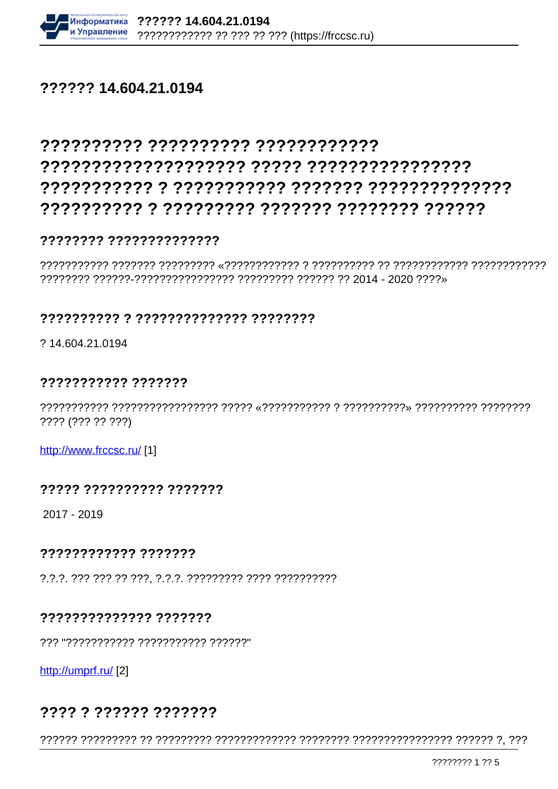### ?????? 14.604.21.0194

# ?????????? ????????? ????????????

### ???????? ??????????????

#### 7777777777 7 77777777777777 77777777

? 14.604.21.0194

#### ??????????? ???????

nanananan adamanyinya «canananananananananana» adamanyinya any diago danya danya ???? (??? ?? ???)

http://www.frccsc.ru/ [1]

#### ????? ?????????? ???????

2017 - 2019

#### ???????????? ???????

#### ?????????????? ???????

777 "77777777777 77777777777 777777"

http://umprf.ru/ [2]

## ???? ? ?????? ???????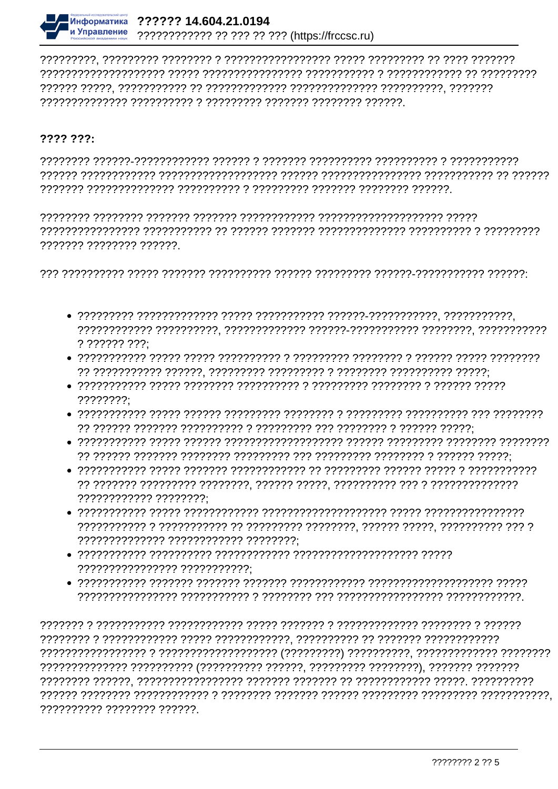

#### $???? ???$

- $? ? ? ? ? ? ? ? ? ? ? ?$
- 
- $2222222$
- 
- 
- ???????????? ????????
- ?????????????? ???????????? ????????
- ???????????????? ???????????
- 

?????????? ???????? ??????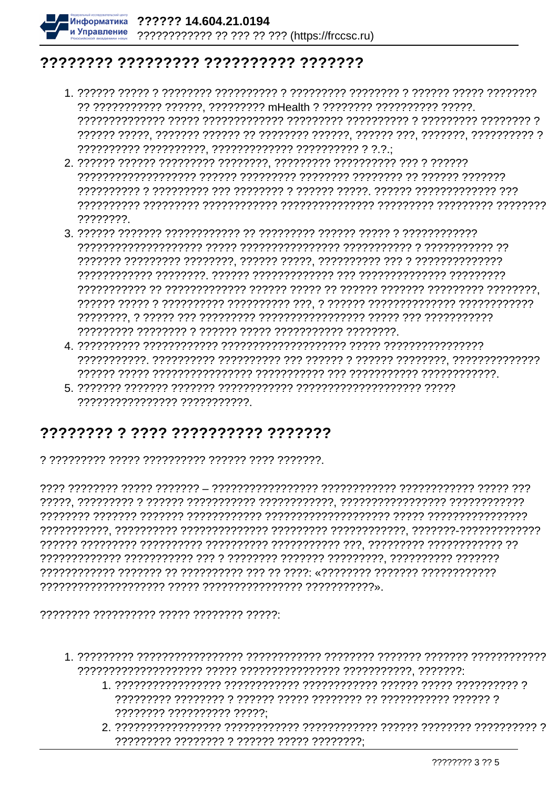

## ???????? ???????? ?????????? ???????

- ?? ??????????? ??????, ????????? mHealth ? ???????? ????????? ?????.
- , דרד דרדרדרדרדרדר דרדרדר רדרדר דרדרד דרדרדר רדרדרדר רדר דרדרדרדרדר ד דרדרדרדרדר , דרדרדרדר דרדרדרדרד דרדרדרד דרדרדרד דרדרדרדרדרדר דרדרדרדרדרד דרדרדרד דרדרדרדר ????????
- 
- 
- 7777777777777777 777777777777

## ???????? ? ???? ?????????? ???????

, רדר דרדרד דרדרדרדרדרדרד דרדרדרדרדרדר דרדרדרדרדרדרדרדרדר – דרדרדר דרדרד דרדרדר דרדר 

??????? ?????????? ????? ???????? ?????

- - , הררררר ררכרורורר הר ררכורור רורכור הררכה ררכור ר ררכורור ררכורור 17777777 7777777777 77777
	-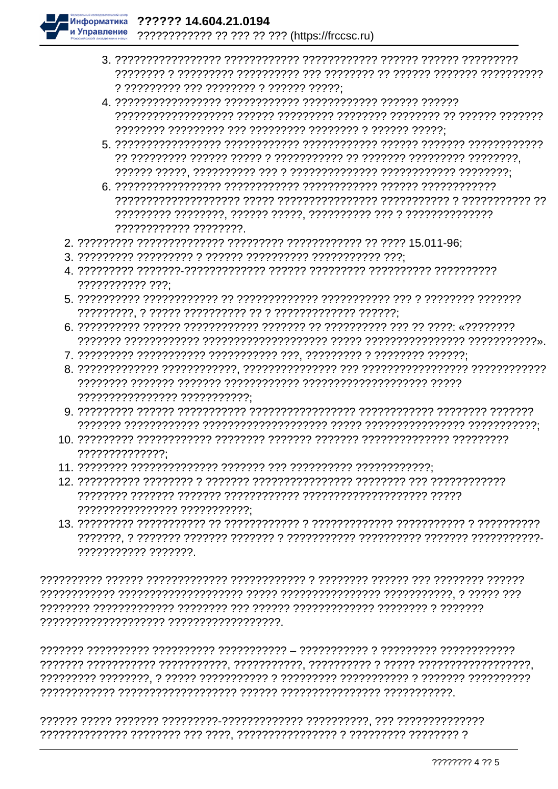Информатика и Управление

???????????? ?? ??? ?? ??? (https://frccsc.ru)

- ? ????????? ??? ???????? ? ?????? ?????
- 
- 
- 
- 
- 
- 
- 
- 
- 
- 7777777777777777 777777777777
- 
- ??????????????
- 
- 
- ??????????? ???????